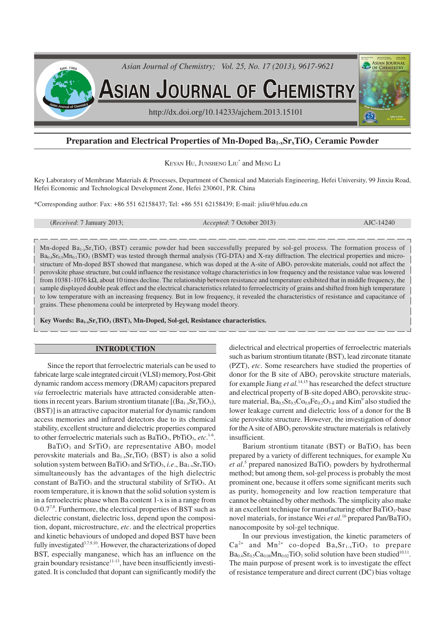

# **Preparation and Electrical Properties of Mn-Doped Ba1-xSrxTiO3 Ceramic Powder**

KEYAN HU, JUNSHENG LIU<sup>\*</sup> and MENG LI

Key Laboratory of Membrane Materials & Processes, Department of Chemical and Materials Engineering, Hefei University, 99 Jinxiu Road, Hefei Economic and Technological Development Zone, Hefei 230601, P.R. China

\*Corresponding author: Fax: +86 551 62158437; Tel: +86 551 62158439; E-mail: jsliu@hfuu.edu.cn

(*Received*: 7 January 2013; *Accepted*: 7 October 2013) AJC-14240

Mn-doped  $Ba_{1-x}Sr_xTiO_3$  (BST) ceramic powder had been successfully prepared by sol-gel process. The formation process of  $Ba<sub>0.4</sub>Sr<sub>0.5</sub>Mn<sub>0.1</sub>TiO<sub>3</sub> (BSMT)$  was tested through thermal analysis (TG-DTA) and X-ray diffraction. The electrical properties and microstructure of Mn-doped BST showed that manganese, which was doped at the A-site of ABO<sub>3</sub> perovskite materials, could not affect the perovskite phase structure, but could influence the resistance voltage characteristics in low frequency and the resistance value was lowered from 10381-1076 kΩ, about 10 times decline. The relationship between resistance and temperature exhibited that in middle frequency, the sample displayed double peak effect and the electrical characteristics related to ferroelectricity of grains and shifted from high temperature to low temperature with an increasing frequency. But in low frequency, it revealed the characteristics of resistance and capacitance of grains. These phenomena could be interpreted by Heywang model theory.

**Key Words: Ba1-xSrxTiO3 (BST), Mn-Doped, Sol-gel, Resistance characteristics.**

#### **INTRODUCTION**

Since the report that ferroelectric materials can be used to fabricate large scale integrated circuit (VLSI) memory, Post-Gbit dynamic random access memory (DRAM) capacitors prepared *via* ferroelectric materials have attracted considerable attentions in recent years. Barium strontium titanate  $[(Ba<sub>1-x</sub>Sr<sub>x</sub>TiO<sub>3</sub>),$ (BST)] is an attractive capacitor material for dynamic random access memories and infrared detectors due to its chemical stability, excellent structure and dielectric properties compared to other ferroelectric materials such as BaTiO<sub>3</sub>, PbTiO<sub>3</sub>, etc.<sup>1-6</sup>.

 $BaTiO<sub>3</sub>$  and  $SrTiO<sub>3</sub>$  are representative ABO<sub>3</sub> model perovskite materials and  $Ba_{1x}Sr_xTiO_3$  (BST) is also a solid solution system between BaTiO<sub>3</sub> and SrTiO<sub>3</sub>, *i.e.*,  $Ba_{1-x}Sr_xTiO_3$ simultaneously has the advantages of the high dielectric constant of  $BaTiO<sub>3</sub>$  and the structural stability of  $SrTiO<sub>3</sub>$ . At room temperature, it is known that the solid solution system is in a ferroelectric phase when Ba content 1-x is in a range from  $0$ -0.7<sup>7,8</sup>. Furthermore, the electrical properties of BST such as dielectric constant, dielectric loss, depend upon the composition, dopant, microstructure, *etc*. and the electrical properties and kinetic behaviours of undoped and doped BST have been fully investigated<sup>3,7,9,10</sup>. However, the characterizations of doped BST, especially manganese, which has an influence on the grain boundary resistance<sup>11-13</sup>, have been insufficiently investigated. It is concluded that dopant can significantly modify the dielectrical and electrical properties of ferroelectric materials such as barium strontium titanate (BST), lead zirconate titanate (PZT), *etc*. Some researchers have studied the properties of donor for the B site of ABO<sub>3</sub> perovskite structure materials, for example Jiang *et al.*14,15 has researched the defect structure and electrical property of B-site doped  $ABO<sub>3</sub>$  perovskite structure material,  $Ba_{0.5}Sr_{0.5}Co_{0.8}Fe_{0.2}O_{3.8}$  and  $Kim^9$  also studied the lower leakage current and dielectric loss of a donor for the B site perovskite structure. However, the investigation of donor for the A site of  $ABO<sub>3</sub>$  perovskite structure materials is relatively insufficient.

Barium strontium titanate (BST) or  $BaTiO<sub>3</sub>$  has been prepared by a variety of different techniques, for example Xu et al.<sup>5</sup> prepared nanosized BaTiO<sub>3</sub> powders by hydrothermal method; but among them, sol-gel process is probably the most prominent one, because it offers some significant merits such as purity, homogeneity and low reaction temperature that cannot be obtained by other methods. The simplicity also make it an excellent technique for manufacturing other  $BaTiO<sub>3</sub>$ -base novel materials, for instance Wei *et al*.<sup>16</sup> prepared Pan/BaTiO<sub>3</sub> nanocomposite by sol-gel technique.

In our previous investigation, the kinetic parameters of  $Ca^{2+}$  and  $Mn^{2+}$  co-doped  $Ba_{x}Sr_{1-x}TiO_{3}$  to prepare  $Ba_{0.4}Sr_{0.5}Ca_{0.08}Mn_{0.02}TiO_3$  solid solution have been studied<sup>10,11</sup>. The main purpose of present work is to investigate the effect of resistance temperature and direct current (DC) bias voltage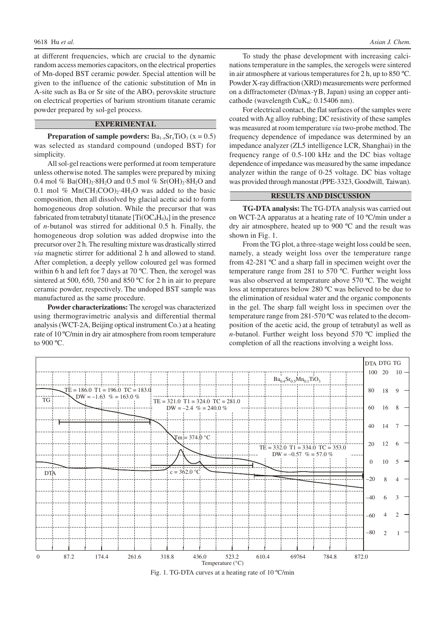at different frequencies, which are crucial to the dynamic random access memories capacitors, on the electrical properties of Mn-doped BST ceramic powder. Special attention will be given to the influence of the cationic substitution of Mn in A-site such as Ba or Sr site of the  $ABO<sub>3</sub>$  perovskite structure on electrical properties of barium strontium titanate ceramic powder prepared by sol-gel process.

### **EXPERIMENTAL**

**Preparation of sample powders:**  $Ba_{1-x}Sr_xTiO_3$  ( $x = 0.5$ ) was selected as standard compound (undoped BST) for simplicity.

All sol-gel reactions were performed at room temperature unless otherwise noted. The samples were prepared by mixing 0.4 mol % Ba(OH)<sub>2</sub>·8H<sub>2</sub>O and 0.5 mol % Sr(OH)<sub>2</sub>·8H<sub>2</sub>O and 0.1 mol %  $Mn(CH_3COO)_2$  4H<sub>2</sub>O was added to the basic composition, then all dissolved by glacial acetic acid to form homogeneous drop solution. While the precursor that was fabricated from tetrabutyl titanate  $[Ti(OC_4H_9)_4]$  in the presence of *n*-butanol was stirred for additional 0.5 h. Finally, the homogeneous drop solution was added dropwise into the precursor over 2 h. The resulting mixture was drastically stirred *via* magnetic stirrer for additional 2 h and allowed to stand. After completion, a deeply yellow coloured gel was formed within 6 h and left for 7 days at 70 ºC. Then, the xerogel was sintered at 500, 650, 750 and 850 °C for 2 h in air to prepare ceramic powder, respectively. The undoped BST sample was manufactured as the same procedure.

**Powder characterizations:** The xerogel was characterized using thermogravimetric analysis and differential thermal analysis (WCT-2A, Beijing optical instrument Co.) at a heating rate of 10 ºC/min in dry air atmosphere from room temperature to 900 ºC.

To study the phase development with increasing calcinations temperature in the samples, the xerogels were sintered in air atmosphere at various temperatures for 2 h, up to 850 ºC. Powder X-ray diffraction (XRD) measurements were performed on a diffractometer (D/max-γ B, Japan) using an copper anticathode (wavelength  $CuK_{\alpha}$ : 0.15406 nm).

For electrical contact, the flat surfaces of the samples were coated with Ag alloy rubbing; DC resistivity of these samples was measured at room temperature *via* two-probe method. The frequency dependence of impedance was determined by an impedance analyzer (ZL5 intelligence LCR, Shanghai) in the frequency range of 0.5-100 kHz and the DC bias voltage dependence of impedance was measured by the same impedance analyzer within the range of 0-25 voltage. DC bias voltage was provided through manostat (PPE-3323, Goodwill, Taiwan).

## **RESULTS AND DISCUSSION**

**TG-DTA analysis:** The TG-DTA analysis was carried out on WCT-2A apparatus at a heating rate of 10 ºC/min under a dry air atmosphere, heated up to 900 ºC and the result was shown in Fig. 1.

From the TG plot, a three-stage weight loss could be seen, namely, a steady weight loss over the temperature range from 42-281 ºC and a sharp fall in specimen weight over the temperature range from 281 to 570 ºC. Further weight loss was also observed at temperature above 570 ºC. The weight loss at temperatures below 280 ºC was believed to be due to the elimination of residual water and the organic components in the gel. The sharp fall weight loss in specimen over the temperature range from 281-570 ºC was related to the decomposition of the acetic acid, the group of tetrabutyl as well as *n*-butanol. Further weight loss beyond 570 ºC implied the completion of all the reactions involving a weight loss.



Fig. 1. TG-DTA curves at a heating rate of 10 ºC/min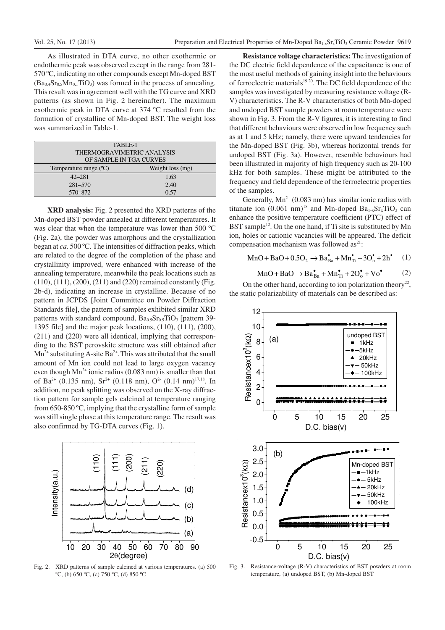As illustrated in DTA curve, no other exothermic or endothermic peak was observed except in the range from 281- 570 ºC, indicating no other compounds except Mn-doped BST  $(Ba_{0.4}Sr_{0.5}Mn_{0.1}TiO_3)$  was formed in the process of annealing. This result was in agreement well with the TG curve and XRD patterns (as shown in Fig. 2 hereinafter). The maximum exothermic peak in DTA curve at 374 ºC resulted from the formation of crystalline of Mn-doped BST. The weight loss was summarized in Table-1.

| TABLE-1                    |                  |
|----------------------------|------------------|
| THERMOGRAVIMETRIC ANALYSIS |                  |
| OF SAMPLE IN TGA CURVES    |                  |
| Temperature range (°C)     | Weight loss (mg) |
| $42 - 281$                 | 1.63             |
| $281 - 570$                | 2.40             |
| 570-872                    | 0.57             |

**XRD analysis:** Fig. 2 presented the XRD patterns of the Mn-doped BST powder annealed at different temperatures. It was clear that when the temperature was lower than 500 ºC (Fig. 2a), the powder was amorphous and the crystallization began at *ca.* 500 ºC. The intensities of diffraction peaks, which are related to the degree of the completion of the phase and crystallinity improved, were enhanced with increase of the annealing temperature, meanwhile the peak locations such as (110), (111), (200), (211) and (220) remained constantly (Fig. 2b-d), indicating an increase in crystalline. Because of no pattern in JCPDS [Joint Committee on Powder Diffraction Standards file], the pattern of samples exhibited similar XRD patterns with standard compound,  $Ba<sub>0.5</sub>Sr<sub>0.5</sub>TiO<sub>3</sub>$  [pattern 39-1395 file] and the major peak locations, (110), (111), (200), (211) and (220) were all identical, implying that corresponding to the BST perovskite structure was still obtained after  $Mn^{2+}$  substituting A-site Ba<sup>2+</sup>. This was attributed that the small amount of Mn ion could not lead to large oxygen vacancy even though  $Mn^{2+}$  ionic radius (0.083 nm) is smaller than that of Ba<sup>2+</sup> (0.135 nm), Sr<sup>2+</sup> (0.118 nm), O<sup>2</sup> (0.14 nm)<sup>17,18</sup>. In addition, no peak splitting was observed on the X-ray diffraction pattern for sample gels calcined at temperature ranging from 650-850 ºC, implying that the crystalline form of sample was still single phase at this temperature range. The result was also confirmed by TG-DTA curves (Fig. 1).



Fig. 2. XRD patterns of sample calcined at various temperatures. (a) 500  $\rm{^{\circ}C}$ , (b) 650  $\rm{^{\circ}C}$ , (c) 750  $\rm{^{\circ}C}$ , (d) 850  $\rm{^{\circ}C}$ 

**Resistance voltage characteristics:** The investigation of the DC electric field dependence of the capacitance is one of the most useful methods of gaining insight into the behaviours of ferroelectric materials<sup>19,20</sup>. The DC field dependence of the samples was investigated by measuring resistance voltage (R-V) characteristics. The R-V characteristics of both Mn-doped and undoped BST sample powders at room temperature were shown in Fig. 3. From the R-V figures, it is interesting to find that different behaviours were observed in low frequency such as at 1 and 5 kHz; namely, there were upward tendencies for the Mn-doped BST (Fig. 3b), whereas horizontal trends for undoped BST (Fig. 3a). However, resemble behaviours had been illustrated in majority of high frequency such as 20-100 kHz for both samples. These might be attributed to the frequency and field dependence of the ferroelectric properties of the samples.

Generally,  $Mn^{2+}$  (0.083 nm) has similar ionic radius with titanate ion  $(0.061 \text{ nm})^{18}$  and Mn-doped Ba<sub>1-x</sub>Sr<sub>x</sub>TiO<sub>3</sub> can enhance the positive temperature coefficient (PTC) effect of BST sample<sup>12</sup>. On the one hand, if Ti site is substituted by Mn ion, holes or cationic vacancies will be appeared. The deficit compensation mechanism was followed  $as<sup>21</sup>$ :

$$
MnO + BaO + 0.5O_2 \rightarrow Ba_{Ba}^{\bullet} + Mn_{Ti}^{\bullet} + 3O_0^{\bullet} + 2h^{\bullet} \quad (1)
$$

$$
MnO + BaO \rightarrow Ba_{Ba}^{\bullet} + Mn_{Ti}^{\bullet} + 2O_{o}^{\bullet} + Vo^{\bullet}
$$
 (2)

On the other hand, according to ion polarization theory<sup>22</sup>, the static polarizability of materials can be described as:



Fig. 3. Resistance-voltage (R-V) characteristics of BST powders at room temperature, (a) undoped BST, (b) Mn-doped BST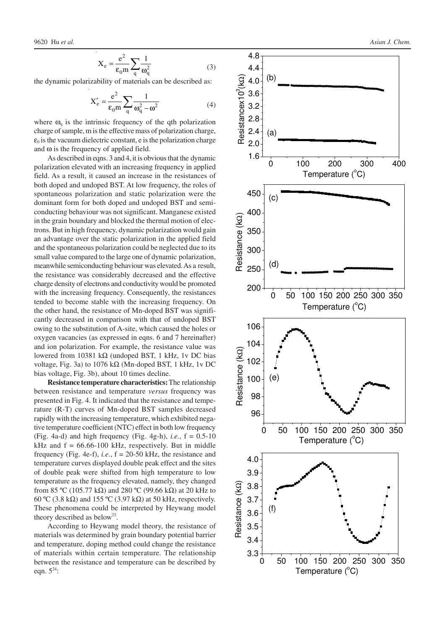$$
X_e = \frac{e^2}{\epsilon_0 m} \sum_{q} \frac{1}{\omega_q^2}
$$
 (3)

the dynamic polarizability of materials can be described as:

$$
X'_{e} = \frac{e^{2}}{\varepsilon_{0} m} \sum_{q} \frac{1}{\omega_{q}^{2} - \omega^{2}}
$$
 (4)

where  $\omega_{q}$  is the intrinsic frequency of the qth polarization charge of sample, m is the effective mass of polarization charge,  $\varepsilon_0$  is the vacuum dielectric constant, e is the polarization charge and  $\omega$  is the frequency of applied field.

As described in eqns. 3 and 4, it is obvious that the dynamic polarization elevated with an increasing frequency in applied field. As a result, it caused an increase in the resistances of both doped and undoped BST. At low frequency, the roles of spontaneous polarization and static polarization were the dominant form for both doped and undoped BST and semiconducting behaviour was not significant. Manganese existed in the grain boundary and blocked the thermal motion of electrons. But in high frequency, dynamic polarization would gain an advantage over the static polarization in the applied field and the spontaneous polarization could be neglected due to its small value compared to the large one of dynamic polarization, meanwhile semiconducting behaviour was elevated. As a result, the resistance was considerably decreased and the effective charge density of electrons and conductivity would be promoted with the increasing frequency. Consequently, the resistances tended to become stable with the increasing frequency. On the other hand, the resistance of Mn-doped BST was significantly decreased in comparison with that of undoped BST owing to the substitution of A-site, which caused the holes or oxygen vacancies (as expressed in eqns. 6 and 7 hereinafter) and ion polarization. For example, the resistance value was lowered from 10381 kΩ (undoped BST, 1 kHz, 1v DC bias voltage, Fig. 3a) to  $1076$  kΩ (Mn-doped BST, 1 kHz, 1v DC bias voltage, Fig. 3b), about 10 times decline.

**Resistance temperature characteristics:** The relationship between resistance and temperature *versus* frequency was presented in Fig. 4. It indicated that the resistance and temperature (R-T) curves of Mn-doped BST samples decreased rapidly with the increasing temperature, which exhibited negative temperature coefficient (NTC) effect in both low frequency (Fig. 4a-d) and high frequency (Fig. 4g-h), *i.e.*,  $f = 0.5{\text -}10$ kHz and  $f = 66.66 - 100$  kHz, respectively. But in middle frequency (Fig. 4e-f), *i.e*., f = 20-50 kHz, the resistance and temperature curves displayed double peak effect and the sites of double peak were shifted from high temperature to low temperature as the frequency elevated, namely, they changed from 85 ºC (105.77 kΩ) and 280 ºC (99.66 kΩ) at 20 kHz to 60 °C (3.8 k $\Omega$ ) and 155 °C (3.97 k $\Omega$ ) at 50 kHz, respectively. These phenomena could be interpreted by Heywang model theory described as below<sup>23</sup>.

According to Heywang model theory, the resistance of materials was determined by grain boundary potential barrier and temperature, doping method could change the resistance of materials within certain temperature. The relationship between the resistance and temperature can be described by eqn.  $5^{24}$ :